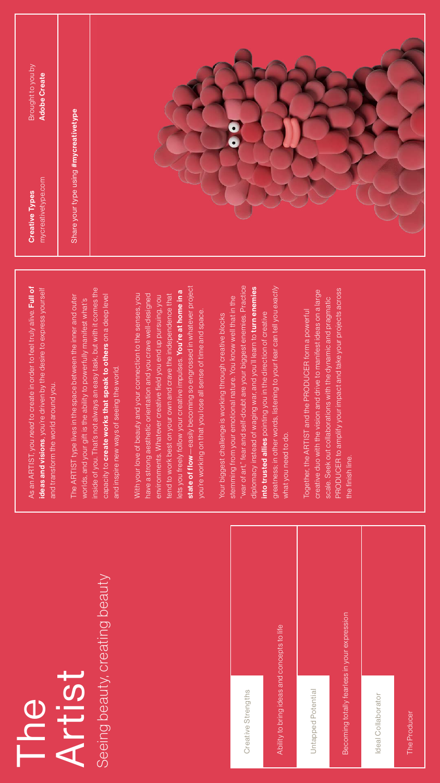## Artist

Seeing beauty, creating beauty Seeing beauty, creating beauty

The ARTIST type lives in the space between the inner and outer The ARTIST type lives in the space between the inner and outer worlds, and your gift is the ability to powerfully manifest what's worlds, and your gift is the ability to powerfully manifest what's and transform the world around you. and transform the world around you.

state of flow—easily becoming so engrossed in whatever project state of flow — easily becoming so engrossed in whatever project lets you freely follow your creative impulses. You're at home in a lets you freely follow your creative impulses. You're at home in a With your love of beauty and your connection to the senses, you have a strong aesthetic orientation and you crave well-designed tend to work best on your own and crave the independence that With your love of beauty and your connection to the senses, you have a strong aesthetic orientation and you crave well-designed tend to work best on your own and crave the independence that environments. Whatever creative field you end up pursuing, you environments. Whatever creative field you end up pursuing, you

you're working on that you lose all sense

and inspire new ways of seeing the world.

and inspire new ways of seeing the world.

Becoming totally fearless in your expression Becoming totally fearless in your expression

Collaborator Ideal Collaborator

oducer

"war of art," fear and self-doubt are your biggest enemies. Practice "war of art," fear and self-doubt are your biggest enemies. Practice greatness; in other words, listening to your fear can tell you *exactly*  diplomacy instead of waging war, and you'll learn to turn enemies diplomacy instead of waging war, and you'll learn to turn enemies greatness; in other words, listening to your fear can tell you exactly stemming from your emotional nature. You know well that in the stemming from your emotional nature. You know well that in the into trusted allies pointing you in the direction of creative into trusted allies pointing you in the direction of creative Your biggest challenge is working through creative blocks Your biggest challenge is working through creative blocks what you need to do. what you need to do.

PRODUCER to amplify your impact and take your projects across PRODUCER to amplify your impact and take your projects across creative duo with the vision and drive to manifest ideas on a large creative duo with the vision and drive to manifest ideas on a large scale. Seek out collaborations with the dynamic and pragmatic scale. Seek out collaborations with the dynamic and pragmatic Together, the ARTIST and the PRODUCER form a powerful Together, the ARTIST and the PRODUCE the finish line. the finish line.



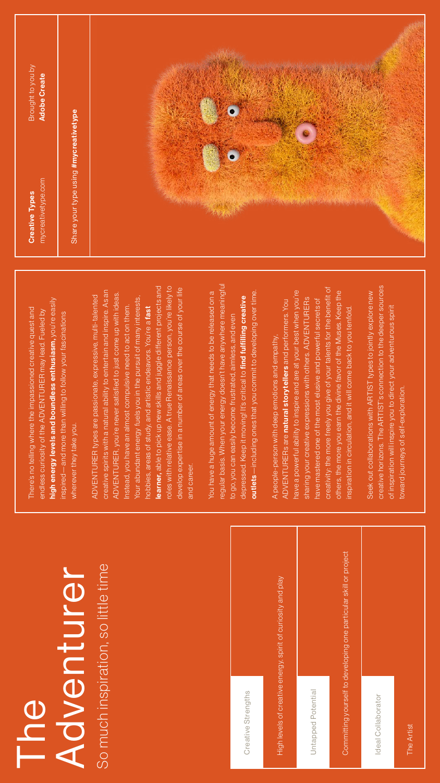high energy levels and boundless enthusiasm, you're easily high energy levels and boundless enthusiasm, you're easily There's no telling where the impassioned creative quest and endless curiosity of the ADVENTURER may lead. Fueled by endless curiosity of the ADVENTURER may lead. Fueled by inspired—and more than willing to follow your fascinations inspired—and more than willing to follow your fascinations There's no telling where the impassioned wherever they take you. wherever they take you.

**learner,** able to pick up new skills and juggle different projects and learner, able to pick up new skills and juggle different projects and roles with relative ease. A true Renaissance person, you're likely to roles with relative ease. A true Renaissance person, you're likely to develop expertise in a number of areas over the course of your life develop expertise in a number of areas over the course of your life creative spirits with a natural ability to entertain and inspire. As an creative spirits with a natural ability to entertain and inspire. As an ADVENTURER, you're never satisfied to just come up with ideas. ADVENTURER, you're never satisfied to just come up with ideas. ADVENTURER types are passionate, expressive, multi-talented ADVENTURER types are passionate, expressive, multi-talented Your abundant energy fuels you in the pursuit of many interests, Your abundant energy fuels you in the pursuit of many interests, Instead, you have an almost compulsive need to act on them. Instead, you have an almost compulsive need to act on them. hobbies, areas of study, and artistic endeavors. You're a fast hobbies, areas of study, and artistic endeavors. You're a fast and career.

creativity: the more freely you give of your talents for the benefit of creativity: the more freely you give of your talents for the benefit of have a powerful ability to inspire and are at your best when you're have a powerful ability to inspire and are at your best when you're others, the more you earn the divine favor of the Muses. Keep the others, the more you earn the divine favor of the Muses. Keep the sharing your creative expressions with others. ADVENTURERs have mastered one of the most elusive and powerful secrets of ADVENTURERs are **natural storytellers** and performers. You have mastered one of the most elusive and powerful secrets of ADVENTURERs are natural storytellers and performers. You inspiration in circulation, and it will come back to you tenfold. inspiration in circulation, and it will come back to you tenfold. A people-person with deep emotions and empathy, A people-person with deep emotions and empathy, sharing your creative expressions with ot

Creative Strengths Creative Strengths High levels of creative energy, spirit of curiosity and play High levels of creative energy, spirit of curiosity and play

regular basis. When your energy doesn't have anywhere meaningful regular basis. When your energy doesn't have anywhere meaningful outlets-including ones that you commit to developing over time. outlets—including ones that you commit to developing over time. You have a huge amount of energy that needs to be released on a You have a huge amount of energy that needs to be released on a depressed. Keep it moving! It's critical to find fulfilling creative depressed. Keep it moving! It's critical to find fulfilling creative to go, you can easily become frustrated, aimless, and even to go, you can easily become frustrated, aimless, and even

> ped Potential Untapped Potential

Committing yourself to developing one particular skill or project itting yourself to developing one particular skill or project

Collaborator Ideal Collaborator

creative horizons. The ARTIST's connection to the deeper sources creative horizons. The ARTIST's connection to the deeper sources Seek out collaborations with ARTIST types to jointly explore new Seek out collaborations with ARTIST types to jointly explore new of inspiration will inspire you to direct your adventurous spirit of inspiration will inspire you to direct your adventurous spirit toward journeys of self-exploration. toward journeys of self-exploration.





#### uch inspiration, so little time So much inspiration, so little time Adventurer NOTCHEON **O**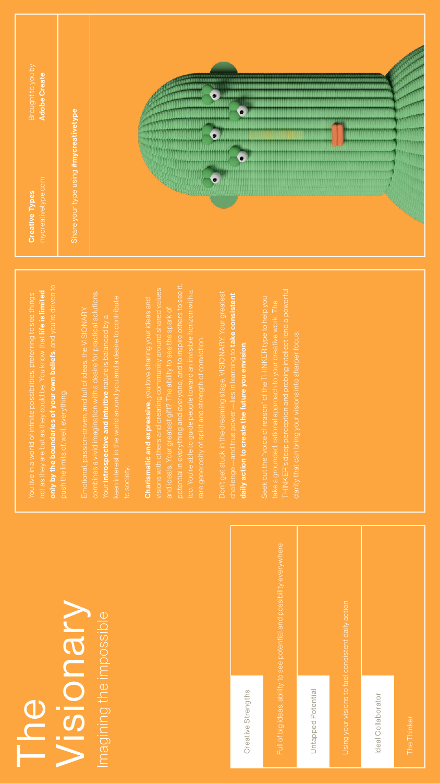## Visionary ning the impossible Imagining the impossible

potential in everything and everyone, and to inspire others to see it, to inspire others to see it, visions with others and creating community around shared values ity around shared values too. You're able to guide people toward an invisible horizon with a too. You're able to guide people toward an invisible horizon with a Charismatic and expressive, you love sharing your ideas and Charismatic and expressive, you love sharing your ideas and and ideals. Your greatest gift? The ability to see the spark of and ideals. Your greatest gift? The ability to see the spark of rare generosity of spirit and strength of conviction. rare generosity of spirit and strength of conviction. visions with others and creating communi potential in everything and everyone, and

know that life is limited preferring to see things

combines a vivid imagination with a desire for practical solutions. combines a vivid imagination with a desire for practical solutions. keen interest in the world around you and a desire to contribute a desire to contribute Emotional, passion-driven, and full of ideas, the VISIONARY Emotional, passion-driven, and full of ideas, the VISIONARY Your introspective and intuitive nature is balanced by a Your introspective and intuitive nature is balanced by a keen interest in the world around you and to society.

Don't get stuck in the dreaming stage, VISIONARY. Your greatest Don't get stuck in the dreaming stage, VISIONARY. Your greatest challenge—and true power—lies in learning to take consistent challenge—and true power—lies in learning to take consistent daily action to create the future you envision. nvision daily action to create the future you er

> Creative Strengths Creative Strengths

big ideas, ability to see potential and possibility everywhere Full of big ideas, ability to see potential and possibility everywhere

Untapped Potential Untapped Potential

your visions to fuel consistent daily action Using your visions to fuel consistent daily action

Ideal Collaborator Ideal Collaborator

hinker

only by the boundaries of your own beliefs, and you're driven to only by the boundaries of your own beliefs, and you're driven to not as they are but as they could be. You know that life is limited You live in a world of infinite possibilities, preferring to see things not as they are but as they could be. You You live in a world of infinite possibilities, push the limits of, well, everything. push the limits of, well, everything,



mycreativetype.com mycreativetype.com **Creative Types** Creative Types

> THINKER's deep perception and probing intellect lend a powerful THINKER's deep perception and probing intellect lend a powerful Seek out the "voice of reason" of the THINKER type to help you Seek out the "voice of reason" of the THINKER type to help you take a grounded, rational approach to your creative work. The take a grounded, rational approach to your creative work. The clarity that can bring your visions into sharper focus. clarity that can bring your visions into sharper focus.

Brought to you by Brought to you by **Adobe Create** Adobe Create

Share your type using #mycreativetype Share your type using #mycreativetype

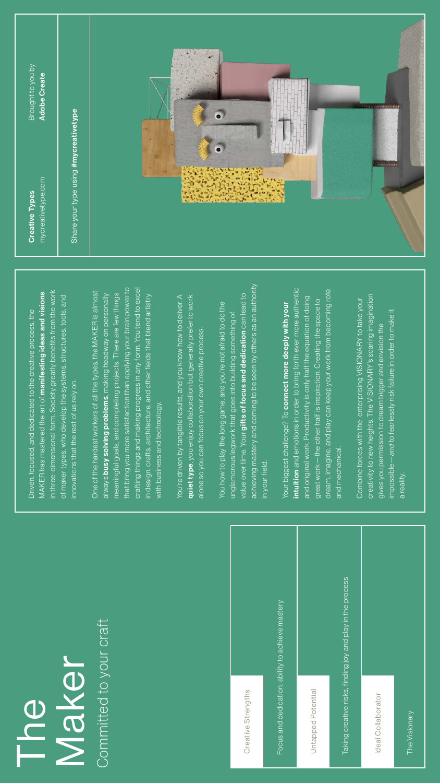in three-dimensional form. Society greatly benefits from the work in three-dimensional form. Society greatly benefits from the work MAKER has mastered the art of manifesting ideas and visions MAKER has mastered the art of manifesting ideas and visions of maker types, who develop the systems, structures, tools, and of maker types, who develop the systems, structures, tools, and Driven, focused, and dedicated to the creative process, the Driven, focused, and dedicated to the creative process, the innovations that the rest of us rely on. innovations that the rest of us rely on.

that bring you more satisfaction than applying your brain power to crafting things and making progress in any form. You tend to excel that bring you more satisfaction than applying your brain power to crafting things and making progress in any form. You tend to excel One of the hardest workers of all the types, the MAKER is almost One of the hardest workers of all the types, the MAKER is almost always busy solving problems, making headway on personally meaningful goals, and completing projects. There are few things meaningful goals, and completing projects. There are few things in design, crafts, architecture, and other fields that blend artistry headway on personally elds that blend artistry in design, crafts, architecture, and other fi always busy solving problems, making I with business and technology. with business and technology.

great work—the other half is inspiration. Creating the space to great work-the other half is inspiration. Creating the space to Your biggest challenge? To connect more deeply with your Your biggest challenge? To **connect more deeply with your** and original work. Productivity is only half and mechanical. and mechanical

intuition and emotions in order to bring forth ever more authentic intuition and emotions in order to bring forth ever more authentic dream, imagine, and play can keep your work from becoming rote dream, imagine, and play can keep your work from becoming rote and original work. Productivity is only half the equation of doing f the equation of doing

You're driven by tangible results, and you know how to deliver. A You're driven by tangible results, and you know how to deliver. A quiet type, you enjoy collaboration but generally prefer to work quiet type, you enjoy collaboration but generally prefer to work alone so you can focus on your own creative process. alone so you can focus on your own creative process.

> Creative Strengths Creative Strengths

and dedication, ability to achieve mastery Focus and dedication, ability to achieve mastery

Untapped Potential Untapped Potential creative risks, finding joy and play in the process Taking creative risks, finding joy and play in the process

Ideal Collaborator Ideal Collaborator

Creative Types Creative Types

mycreativetype.com mycreativetype.com

Brought to you by Brought to you by **Adobe Create** Adobe Create

Share your type using #mycreativetype Share your type using #mycreativetype



#### Committed to your craft Committed to your craft Maker O<br>The D

achieving mastery and coming to be seen by others as an authority achieving mastery and coming to be seen by others as an authority value over time. Your gifts of focus and dedication can lead to value over time. Your gifts of focus and dedication can lead to You how to play the long game, and you're not afraid to do the You how to play the long game, and you're not afraid to do the unglamorous legwork that goes into building something of unglamorous legwork that goes into building something of in your field. in your field.

creativity to new heights. The VISIONARY's soaring imagination creativity to new heights. The VISIONARY's soaring imagination Combine forces with the enterprising VISIONARY to take your Combine forces with the enterprising VISIONARY to take your impossible—and to fearlessly risk failure in order to make it impossible—*and* to fearlessly risk failure in order to make it gives you permission to dream bigger and envision the gives you permission to dream bigger and envision the a reality.

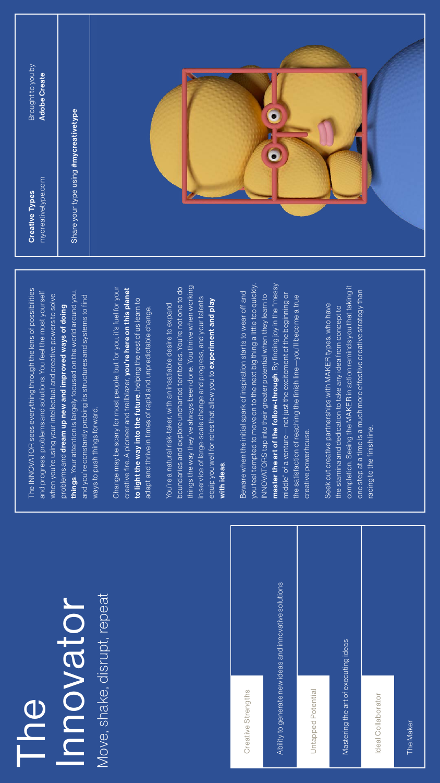## Move, shake, disrupt, repeat Move, shake, disrupt, repeat Innovator

The INNOVATOR sees everything through the lens of possibilities The INNOVATOR sees everything through the lens of possibilities things. Your attention is largely focused on the world around you, things. Your attention is largely focused on the world around you, and progress, problems and solutions. You feel the most yourself and progress, problems and solutions. You feel the most yourself when you're using your intellectual and creative powers to solve when you're using your intellectual and creative powers to solve and you're constantly probing its structures and systems to find and you're constantly probing its structures and systems to find problems and dream up new and improved ways of doing problems and dream up new and improved ways of doing ways to push things forward. ways to push things forward.

things the way they've always been done. You thrive when working things the way they've always been done. You thrive when working boundaries and explore uncharted territories. You're not one to do boundaries and explore uncharted territories. You're not one to do in service of large-scale change and progress, and your talents in service of large-scale change and progress, and your talents equip you well for roles that allow you to experiment and play equip you well for roles that allow you to experiment and play You're a natural risk-taker, with an insatiable desire to expand You're a natural risk-taker, with an insatiable desire to expand with ideas. with ideas.

Change may be scary for most people, but for you, it's fuel for your Change may be scary for most people, but for you, it's fuel for your creative fire. A pioneer and trailblazer, you're here on this planet creative fire. A pioneer and trailblazer, you're here on this planet to light the way into the future, helping the rest of us learn to to light the way into the future, helping the rest of us learn to adapt and thrive in times of rapid and unpredictable change. adapt and thrive in times of rapid and unpredictable change.

> Creative Strengths Creative Strengths

to generate new ideas and innovative solutions Ability to generate new ideas and innovative solutions

Untapped Potential Untapped Potential ring the art of executing ideas Mastering the art of executing ideas

Ideal Collaborator Ideal Collaborator



you feel tempted to move on to the next big thing a little too quickly. master the art of the follow-through. By finding joy in the "messy master the art of the follow-through. By finding joy in the "messy Beware when the initial spark of inspiration starts to wear off and Beware when the initial spark of inspiration starts to wear off and middle" of a venture—not just the excitement of the beginning or middle" of a venture—not just the excitement of the beginning or INNOVATORS tap into their greater potential when they learn to INNOVATORS tap into their greater potential when they learn to the satisfaction of reaching the finish line—you'll become a true you feel tempted to move on to the next b the satisfaction of reaching the finish linecreative powerhouse. creative powerhouse.

completion. Seeing the MAKER in action reminds you that taking it completion. Seeing the MAKER in action reminds you that taking it one step at a time is a much more effective creative strategy than Seek out creative partnerships with MAKER types, who have Seek out creative partnerships with MAKER types, who have the stamina and dedication to take any idea from concept to the stamina and dedication to take any idea from concept to one step at a time is a much more effectiv racing to the finish line. racing to the finish line.

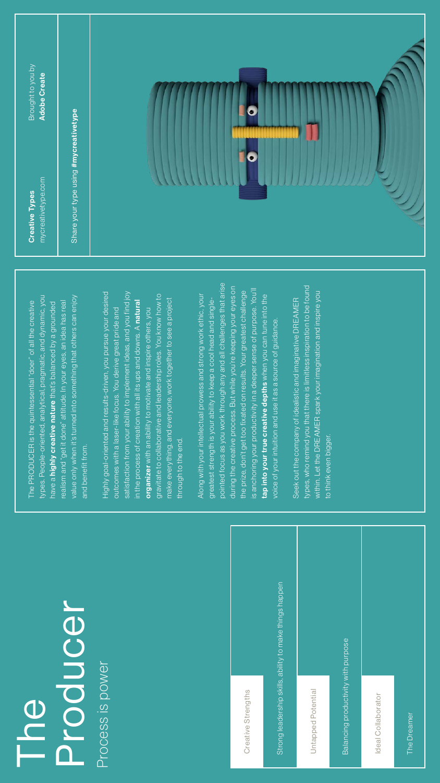types. People-oriented, analytical, pragmatic, and dynamic, you value only when it's turned into something that others can enjoy types. People-oriented, analytical, pragmatic, and dynamic, you value only when it's turned into something that others can enjoy realism and "get it done" attitude. In your eyes, an idea has real realism and "get it done" attitude. In your eyes, an idea has real The PRODUCER is the quintessential "doer" of all the creative The PRODUCER is the quintessential "doer" of all the creative have a **highly creative nature** that's balanced by a grounded have a **highly creative nature** that's balanced by a grounded and benefit from. and benefit from.

pointed focus as you work through any and all challenges that arise pointed focus as you work through any and all challenges that arise during the creative process. But while you're keeping your eyes on during the creative process. But while you're keeping your eyes on is anchoring your productivity in a deeper sense of purpose. You'll is anchoring your productivity in a deeper sense of purpose. You'll the prize, don't get too fixated on results. Your greatest challenge Along with your intellectual prowess and strong work ethic, your tap into your true creative depths when you can tune into the tap into your true creative depths when you can tune into the greatest strength is your ability to keep a cool head and singlegreatest strength is your ability to keep a cool head and singlevoice of your intuition and use it as a source of guidance. voice of your intuition and use it as a source of guidance. Along with your intellectual prowess and the prize, don't get too fixated on results.

Highly goal-oriented and results-driven, you pursue your desired satisfaction from your ability to implement ideas, and you find joy Highly goal-oriented and results-driven, you pursue your desired satisfaction from your ability to implement ideas, and you find joy gravitate to collaborative and leadership roles. You know how to gravitate to collaborative and leadership roles. You know how to make everything, and everyone, work together to see a project make everything, and everyone, work together to see a project in the process of creation with all its ups and downs. A natural in the process of creation with all its ups and downs. A **natural** outcomes with a laser-like focus. You derive great pride and outcomes with a laser-like focus. You derive great pride and organizer with an ability to motivate and inspire others, you organizer with an ability to motivate and inspire others, you through to the end. through to the end.

> Creative Strengths Creative Strengths

Strong leadership skills, ability to make things happen Strong leadership skills, ability to make things happen

Untapped Potential Untapped Potential

Balancing productivity with purpose Balancing productivity with purpose

Ideal Collaborator Ideal Collaborator

reamer

types, who remind you that there is limitless inspiration to be found types, who remind you that there is limitless inspiration to be found within. Let the DREAMER spark your imagination and inspire you within. Let the DREAMER spark your imagination and inspire you Seek out the company of idealistic and imaginative DREAMER Seek out the company of idealistic and imaginative DREAMER to think even bigger. to think even bigger.





### Producer Process is power Process is power O<br>D<br>D<br>D<br>D<br>D<br>D<br>D<br>D<br>D<br>D<br>D<br>D<br>D<br>D<br>D<br> $\Box$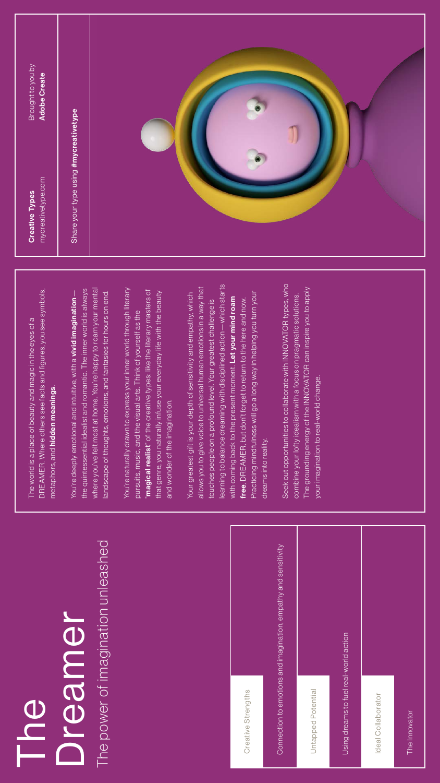The power of imagination unleashed

DREAMER. Where others see facts and figures, you see symbols, The world is a place of beauty and magic in the eyes of a The world is a place of beauty and magic in the eyes of a DREAMER. Where others see facts and fi metaphors, and hidden meanings. metaphors, and hidden meanings.

where you've felt most at home. You're happy to roam your mental where you've felt most at home. You're happy to roam your mental the quintessential idealist and romantic. The inner world is always the quintessential idealist and romantic. The inner world is always You're deeply emotional and intuitive, with a **vivid imagination** landscape of thoughts, emotions, and fantasies for hours on end. landscape of thoughts, emotions, and fantasies for hours on end. You're deeply emotional and intuitive, with a vivid imagination

You're naturally drawn to express your inner world through literary You're naturally drawn to express your inner world through literary "magical realist" of the creative types: like the literary masters of "magical realist" of the creative types: like the literary masters of that genre, you naturally infuse your everyday life with the beauty that genre, you naturally infuse your everyday life with the beauty pursuits, music, and the visual arts. Think of yourself as the pursuits, music, and the visual arts. Think and wonder of the imagination. and wonder of the imagination.

learning to balance dreaming with disciplined action - which starts learning to balance dreaming with disciplined action—which starts allows you to give voice to universal human emotions in a way that allows you to give voice to universal human emotions in a way that Practicing mindfulness will go a long way in helping you turn your Your greatest gift is your depth of sensitivity and empathy, which Practicing mindfulness will go a long way in helping you turn your Your greatest gift is your depth of sensitivity and empathy, which with coming back to the present moment. Let your mind roam with coming back to the present moment. Let your mind roam free, DREAMER, but don't forget to return to the here and now. free, DREAMER, but don't forget to return to the here and now. touches people on a profound level. Your greatest challenge is touches people on a profound level. Your greatest challenge is dreams into reality. dreams into reality.

> Connection to emotions and imagination, empathy and sensitivity Connection to emotions and imagination, empathy and sensitivity dreams to fuel real-world action Using dreams to fuel real-world action Creative Strengths Untapped Potential Untapped Potential Creative Strengths Collaborator Ideal Collaborator

Seek out opportunities to collaborate with INNOVATOR types, who Seek out opportunities to collaborate with INNOVATOR types, who The grounding energy of the INNOVATOR can inspire you to apply The grounding energy of the INNOVATOR can inspire you to apply combine your lofty idealism with a focus on pragmatic solutions. combine your lofty idealism with a focus on pragmatic solutions. your imagination to real-world change. your imagination to real-world change.





# O<br>The C Dreamer of imagination unleashed